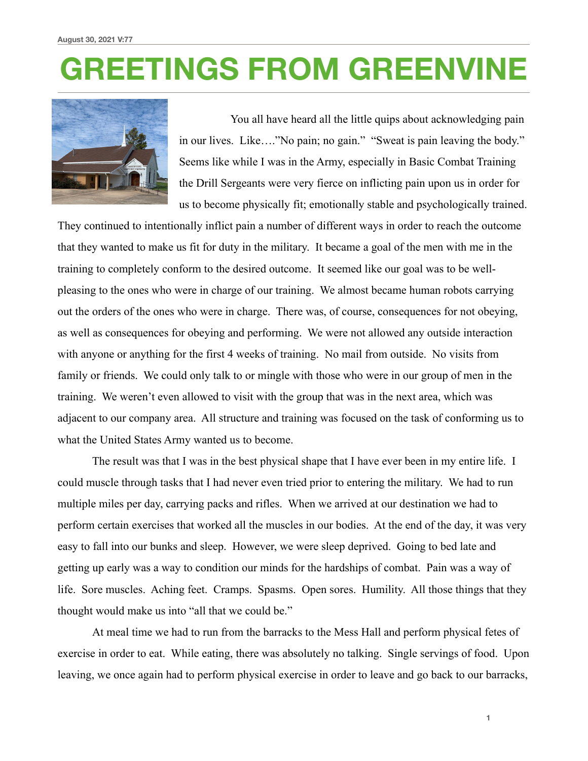## **GREETINGS FROM GREENVINE**



 You all have heard all the little quips about acknowledging pain in our lives. Like…."No pain; no gain." "Sweat is pain leaving the body." Seems like while I was in the Army, especially in Basic Combat Training the Drill Sergeants were very fierce on inflicting pain upon us in order for us to become physically fit; emotionally stable and psychologically trained.

They continued to intentionally inflict pain a number of different ways in order to reach the outcome that they wanted to make us fit for duty in the military. It became a goal of the men with me in the training to completely conform to the desired outcome. It seemed like our goal was to be wellpleasing to the ones who were in charge of our training. We almost became human robots carrying out the orders of the ones who were in charge. There was, of course, consequences for not obeying, as well as consequences for obeying and performing. We were not allowed any outside interaction with anyone or anything for the first 4 weeks of training. No mail from outside. No visits from family or friends. We could only talk to or mingle with those who were in our group of men in the training. We weren't even allowed to visit with the group that was in the next area, which was adjacent to our company area. All structure and training was focused on the task of conforming us to what the United States Army wanted us to become.

 The result was that I was in the best physical shape that I have ever been in my entire life. I could muscle through tasks that I had never even tried prior to entering the military. We had to run multiple miles per day, carrying packs and rifles. When we arrived at our destination we had to perform certain exercises that worked all the muscles in our bodies. At the end of the day, it was very easy to fall into our bunks and sleep. However, we were sleep deprived. Going to bed late and getting up early was a way to condition our minds for the hardships of combat. Pain was a way of life. Sore muscles. Aching feet. Cramps. Spasms. Open sores. Humility. All those things that they thought would make us into "all that we could be."

 At meal time we had to run from the barracks to the Mess Hall and perform physical fetes of exercise in order to eat. While eating, there was absolutely no talking. Single servings of food. Upon leaving, we once again had to perform physical exercise in order to leave and go back to our barracks,

**1**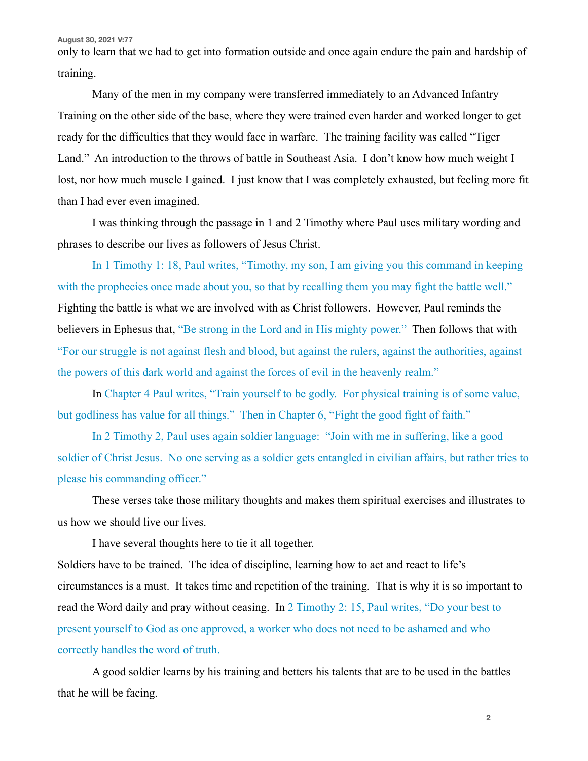**August 30, 2021 V:77**

only to learn that we had to get into formation outside and once again endure the pain and hardship of training.

 Many of the men in my company were transferred immediately to an Advanced Infantry Training on the other side of the base, where they were trained even harder and worked longer to get ready for the difficulties that they would face in warfare. The training facility was called "Tiger Land." An introduction to the throws of battle in Southeast Asia. I don't know how much weight I lost, nor how much muscle I gained. I just know that I was completely exhausted, but feeling more fit than I had ever even imagined.

 I was thinking through the passage in 1 and 2 Timothy where Paul uses military wording and phrases to describe our lives as followers of Jesus Christ.

In 1 Timothy 1: 18, Paul writes, "Timothy, my son, I am giving you this command in keeping with the prophecies once made about you, so that by recalling them you may fight the battle well." Fighting the battle is what we are involved with as Christ followers. However, Paul reminds the believers in Ephesus that, "Be strong in the Lord and in His mighty power." Then follows that with "For our struggle is not against flesh and blood, but against the rulers, against the authorities, against the powers of this dark world and against the forces of evil in the heavenly realm."

 In Chapter 4 Paul writes, "Train yourself to be godly. For physical training is of some value, but godliness has value for all things." Then in Chapter 6, "Fight the good fight of faith."

 In 2 Timothy 2, Paul uses again soldier language: "Join with me in suffering, like a good soldier of Christ Jesus. No one serving as a soldier gets entangled in civilian affairs, but rather tries to please his commanding officer."

 These verses take those military thoughts and makes them spiritual exercises and illustrates to us how we should live our lives.

I have several thoughts here to tie it all together.

Soldiers have to be trained. The idea of discipline, learning how to act and react to life's circumstances is a must. It takes time and repetition of the training. That is why it is so important to read the Word daily and pray without ceasing. In 2 Timothy 2: 15, Paul writes, "Do your best to present yourself to God as one approved, a worker who does not need to be ashamed and who correctly handles the word of truth.

 A good soldier learns by his training and betters his talents that are to be used in the battles that he will be facing.

**2**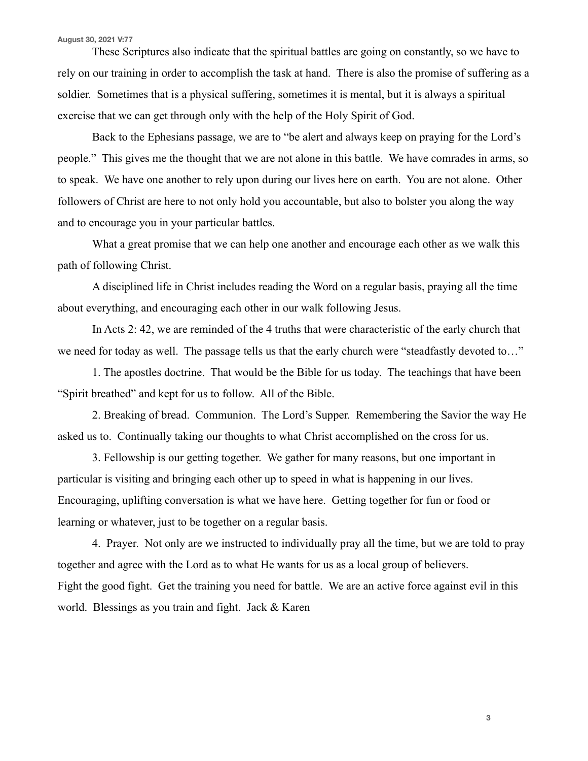## **August 30, 2021 V:77**

 These Scriptures also indicate that the spiritual battles are going on constantly, so we have to rely on our training in order to accomplish the task at hand. There is also the promise of suffering as a soldier. Sometimes that is a physical suffering, sometimes it is mental, but it is always a spiritual exercise that we can get through only with the help of the Holy Spirit of God.

 Back to the Ephesians passage, we are to "be alert and always keep on praying for the Lord's people." This gives me the thought that we are not alone in this battle. We have comrades in arms, so to speak. We have one another to rely upon during our lives here on earth. You are not alone. Other followers of Christ are here to not only hold you accountable, but also to bolster you along the way and to encourage you in your particular battles.

 What a great promise that we can help one another and encourage each other as we walk this path of following Christ.

 A disciplined life in Christ includes reading the Word on a regular basis, praying all the time about everything, and encouraging each other in our walk following Jesus.

 In Acts 2: 42, we are reminded of the 4 truths that were characteristic of the early church that we need for today as well. The passage tells us that the early church were "steadfastly devoted to…"

 1. The apostles doctrine. That would be the Bible for us today. The teachings that have been "Spirit breathed" and kept for us to follow. All of the Bible.

 2. Breaking of bread. Communion. The Lord's Supper. Remembering the Savior the way He asked us to. Continually taking our thoughts to what Christ accomplished on the cross for us.

 3. Fellowship is our getting together. We gather for many reasons, but one important in particular is visiting and bringing each other up to speed in what is happening in our lives. Encouraging, uplifting conversation is what we have here. Getting together for fun or food or learning or whatever, just to be together on a regular basis.

 4. Prayer. Not only are we instructed to individually pray all the time, but we are told to pray together and agree with the Lord as to what He wants for us as a local group of believers. Fight the good fight. Get the training you need for battle. We are an active force against evil in this world. Blessings as you train and fight. Jack & Karen